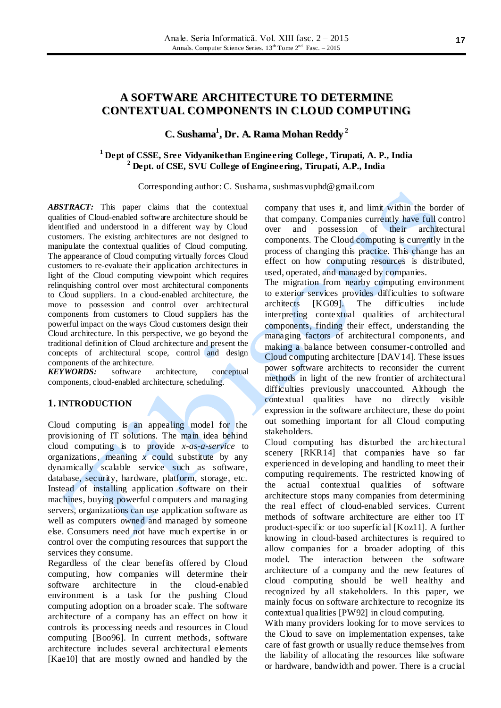# **A SOFTWARE ARCHITECTURE TO DETERMINE CONTEXTUAL COMPONENTS IN CLOUD COMPUTING**

# **C. Sushama 1 , Dr. A. Rama Mohan Reddy 2**

# **<sup>1</sup> Dept of CSSE, Sree Vidyanikethan Engineering College , Tirupati, A. P., India <sup>2</sup> Dept. of CSE, SVU College of Engineering, Tirupati, A.P., India**

#### Corresponding author: C. Sushama, sushmas vuphd@gmail.com

*ABSTRACT:* This paper claims that the contextual qualities of Cloud-enabled software architecture should be identified and understood in a different way by Cloud customers. The existing architectures are not designed to manipulate the contextual qualities of Cloud computing. The appearance of Cloud computing virtually forces Cloud customers to re-evaluate their application architectures in light of the Cloud computing viewpoint which requires relinquishing control over most architectural components to Cloud suppliers. In a cloud-enabled architecture, the move to possession and control over architectural components from customers to Cloud suppliers has the powerful impact on the ways Cloud customers design their Cloud architecture. In this perspective, we go beyond the traditional definition of Cloud architecture and present the concepts of architectural scope, control and design components of the architecture.

*KEYWORDS:* software architecture, conceptual components, cloud-enabled architecture, scheduling.

### **1. INTRODUCTION**

Cloud computing is an appealing model for the provisioning of IT solutions. The main idea behind cloud computing is to provide *x-as-a-service* to organizations, meaning *x* could substitute by any dynamically scalable service such as software, database, security, hardware, platform, storage, etc. Instead of installing application software on their machines, buying powerful computers and managing servers, organizations can use application software as well as computers owned and managed by someone else. Consumers need not have much expertise in or control over the computing resources that support the services they consume.

Regardless of the clear benefits offered by Cloud computing, how companies will determine their software architecture in the cloud-enabled environment is a task for the pushing Cloud computing adoption on a broader scale. The software architecture of a company has an effect on how it controls its processing needs and resources in Cloud computing [Boo96]. In current methods, software architecture includes several architectural elements [Kae10] that are mostly owned and handled by the company that uses it, and limit within the border of that company. Companies currently have full control over and possession of their architectural components. The Cloud computing is currently in the process of changing this practice. This change has an effect on how computing resources is distributed, used, operated, and managed by companies.

The migration from nearby computing environment to exterior services provides difficulties to software architects [KG09]. The difficulties include interpreting contextual qualities of architectural components, finding their effect, understanding the managing factors of architectural components, and making a balance between consumer-controlled and Cloud computing architecture [DAV14]. These issues power software architects to reconsider the current methods in light of the new frontier of architectural difficulties previously unaccounted. Although the contextual qualities have no directly visible expression in the software architecture, these do point out something important for all Cloud computing stakeholders.

Cloud computing has disturbed the arc hitectural scenery [RKR14] that companies have so far experienced in developing and handling to meet their computing requirements. The restricted knowing of the actual contextual qualities of software architecture stops many companies from determining the real effect of cloud-enabled services. Current methods of software architecture are either too IT product-specific or too superficial [Koz11]. A further knowing in cloud-based architectures is required to allow companies for a broader adopting of this model. The interaction between the software architecture of a company and the new features of cloud computing should be well healthy and recognized by all stakeholders. In this paper, we mainly focus on software architecture to recognize its contextual qualities [PW92] in cloud computing.

With many providers looking for to move services to the Cloud to save on implementation expenses, take care of fast growth or usually reduce themselves from the liability of allocating the resources like software or hardware, bandwidth and power. There is a crucial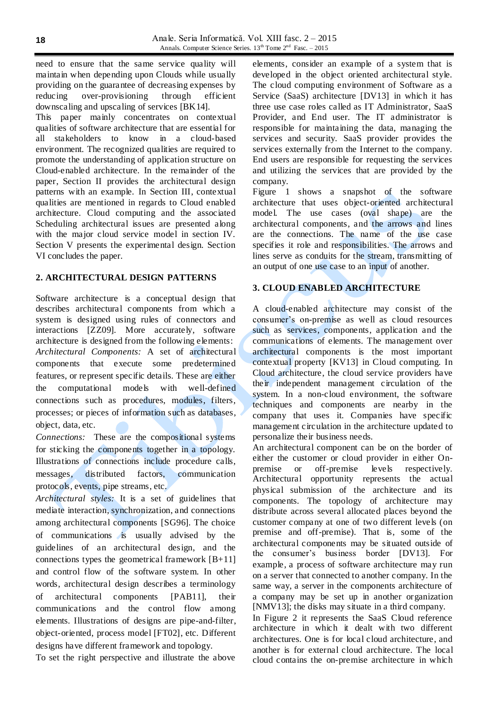need to ensure that the same service quality will maintain when depending upon Clouds while usually providing on the guarantee of decreasing expenses by reducing over-provisioning through efficient downscaling and upscaling of services [BK14].

This paper mainly concentrates on contextual qualities of software architecture that are essential for all stakeholders to know in a cloud-based environment. The recognized qualities are required to promote the understanding of application structure on Cloud-enabled architecture. In the remainder of the paper, Section II provides the architectural design patterns with an example. In Section III, contextual qualities are mentioned in regards to Cloud enabled architecture. Cloud computing and the associated Scheduling architectural issues are presented along with the major cloud service model in section IV. Section V presents the experimental design. Section VI concludes the paper.

# **2. ARCHITECTURAL DESIGN PATTERNS**

Software architecture is a conceptual design that describes architectural components from which a system is designed using rules of connectors and interactions [ZZ09]. More accurately, software architecture is designed from the following elements: *Architectural Components:* A set of architectural components that execute some predetermined features, or represent specific details. These are either the computational models with well-defined connections such as procedures, modules, filters, processes; or pieces of information such as databases, object, data, etc.

*Connections:* These are the compositional systems for sticking the components together in a topology. Illustrations of connections include procedure calls, messages, distributed factors, communication protocols, events, pipe streams, etc.

*Architectural styles:* It is a set of guidelines that mediate interaction, synchronization, and connections among architectural components [SG96]. The choice of communications is usually advised by the guidelines of an architectural design, and the connections types the geometrical framework  $[B+11]$ and control flow of the software system. In other words, architectural design describes a terminology of architectural components [PAB11], their communications and the control flow among elements. Illustrations of designs are pipe-and-filter, object-oriented, process model [FT02], etc. Different designs have different framework and topology.

To set the right perspective and illustrate the above

elements, consider an example of a system that is developed in the object oriented architectural style. The cloud computing environment of Software as a Service (SaaS) architecture [DV13] in which it has three use case roles called as IT Administrator, SaaS Provider, and End user. The IT administrator is responsible for maintaining the data, managing the services and security. SaaS provider provides the services externally from the Internet to the company. End users are responsible for requesting the services and utilizing the services that are provided by the company.

Figure 1 shows a snapshot of the software architecture that uses object-oriented architectural model. The use cases (oval shape) are the architectural components, and the arrows and lines are the connections. The name of the use case specifies it role and responsibilities. The arrows and lines serve as conduits for the stream, transmitting of an output of one use case to an input of another.

# **3. CLOUD ENABLED ARCHITECTURE**

A cloud-enabled architecture may consist of the consumer's on-premise as well as cloud resources such as services, components, application and the communications of elements. The management over architectural components is the most important contextual property [KV13] in Cloud computing. In Cloud architecture, the cloud service providers have their independent management circulation of the system. In a non-cloud environment, the software techniques and components are nearby in the company that uses it. Companies have specific management circulation in the architecture updated to personalize their business needs.

An architectural component can be on the border of either the customer or cloud provider in either Onpremise or off-premise levels respectively. Architectural opportunity represents the actual physical submission of the architecture and its components. The topology of architecture may distribute across several allocated places beyond the customer company at one of two different levels (on premise and off-premise). That is, some of the architectural components may be situated outside of the consumer's business border [DV13]. For example, a process of software architecture may run on a server that connected to another company. In the same way, a server in the components architecture of a company may be set up in another organization [NMV13]; the disks may situate in a third company.

In Figure 2 it represents the SaaS Cloud reference architecture in which it dealt with two different architectures. One is for local cloud architecture, and another is for external cloud architecture. The local cloud contains the on-premise architecture in which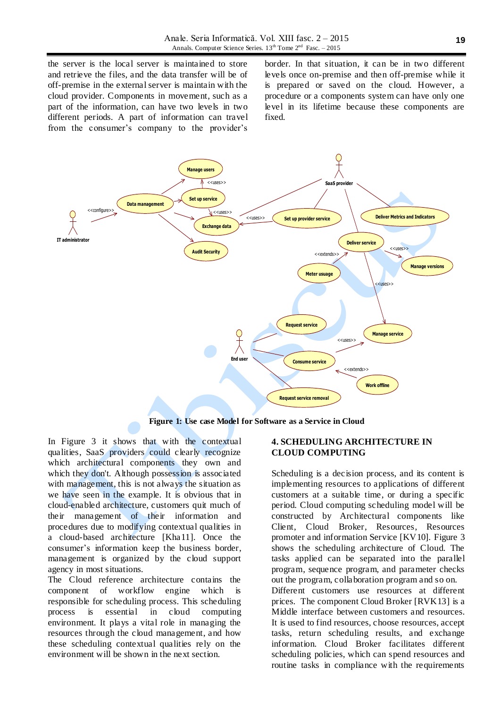the server is the local server is maintained to store and retrieve the files, and the data transfer will be of off-premise in the external server is maintain with the cloud provider. Components in movement, such as a part of the information, can have two levels in two different periods. A part of information can travel from the consumer's company to the provider's

border. In that situation, it can be in two different levels once on-premise and then off-premise while it is prepared or saved on the cloud. However, a procedure or a components system can have only one level in its lifetime because these components are fixed.



**Figure 1: Use case Model for Software as a Service in Cloud**

In Figure 3 it shows that with the contextual qualities, SaaS providers could clearly recognize which architectural components they own and which they don't. Although possession is associated with management, this is not always the situation as we have seen in the example. It is obvious that in cloud-enabled architecture, customers quit much of their management of their information and procedures due to modifying contextual qualities in a cloud-based architecture [Kha11]. Once the consumer's information keep the business border, management is organized by the cloud support agency in most situations.

The Cloud reference architecture contains the component of workflow engine which is responsible for scheduling process. This scheduling process is essential in cloud computing environment. It plays a vital role in managing the resources through the cloud management, and how these scheduling contextual qualities rely on the environment will be shown in the next section.

# **4. SCHEDULING ARCHITECTURE IN CLOUD COMPUTING**

Scheduling is a decision process, and its content is implementing resources to applications of different customers at a suitable time, or during a specific period. Cloud computing scheduling model will be constructed by Architectural components like Client, Cloud Broker, Resources, Resources promoter and information Service [KV10]. Figure 3 shows the scheduling architecture of Cloud. The tasks applied can be separated into the parallel program, sequence program, and parameter checks out the program, collaboration program and so on. Different customers use resources at different prices. The component Cloud Broker [RVK13] is a Middle interface between customers and resources. It is used to find resources, choose resources, accept tasks, return scheduling results, and exchange information. Cloud Broker facilitates different scheduling policies, which can spend resources and routine tasks in compliance with the requirements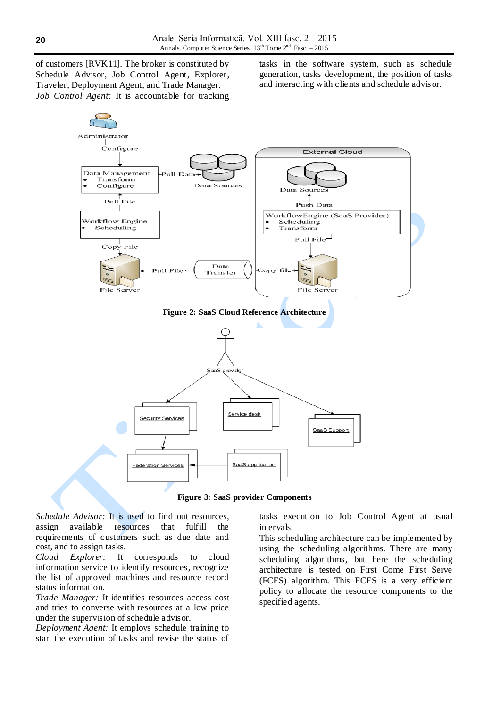of customers [RVK11]. The broker is constituted by Schedule Advisor, Job Control Agent, Explorer, Traveler, Deployment Agent, and Trade Manager. *Job Control Agent:* It is accountable for tracking tasks in the software system, such as schedule generation, tasks development, the position of tasks and interacting with clients and schedule advisor.



**Figure 3: SaaS provider Components**

*Schedule Advisor:* It is used to find out resources, assign available resources that fulfill the requirements of customers such as due date and cost, and to assign tasks.

*Cloud Explorer:* It corresponds to cloud information service to identify resources, recognize the list of approved machines and resource record status information.

*Trade Manager:* It identifies resources access cost and tries to converse with resources at a low price under the supervision of schedule advisor.

*Deployment Agent:* It employs schedule training to start the execution of tasks and revise the status of tasks execution to Job Control Agent at usual intervals.

This scheduling architecture can be implemented by using the scheduling algorithms. There are many scheduling algorithms, but here the scheduling architecture is tested on First Come First Serve (FCFS) algorithm. This FCFS is a very efficient policy to allocate the resource components to the specified agents.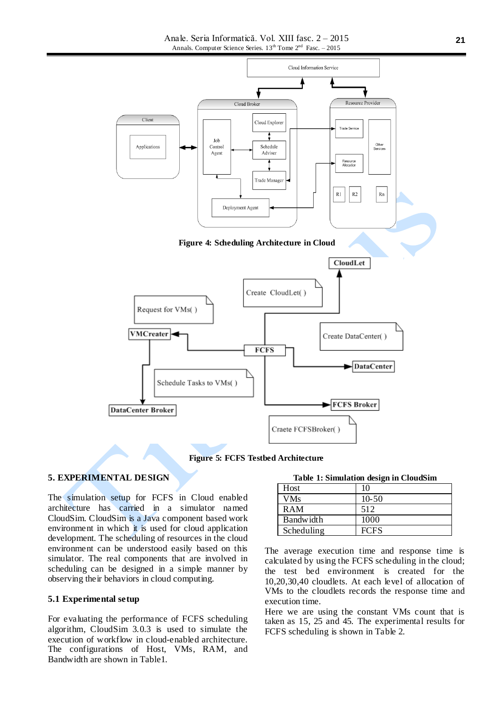

**Figure 5: FCFS Testbed Architecture**

## **5. EXPERIMENTAL DESIGN**

The simulation setup for FCFS in Cloud enabled architecture has carried in a simulator named CloudSim. CloudSim is a Java component based work environment in which it is used for cloud application development. The scheduling of resources in the cloud environment can be understood easily based on this simulator. The real components that are involved in scheduling can be designed in a simple manner by observing their behaviors in cloud computing.

#### **5.1 Experimental setup**

For evaluating the performance of FCFS scheduling algorithm, CloudSim 3.0.3 is used to simulate the execution of workflow in cloud-enabled architecture. The configurations of Host, VMs, RAM, and Bandwidth are shown in Table1.

|  |  | Table 1: Simulation design in CloudSim |  |  |  |
|--|--|----------------------------------------|--|--|--|
|--|--|----------------------------------------|--|--|--|

| Host             | 10          |
|------------------|-------------|
| <b>VMs</b>       | $10-50$     |
| <b>RAM</b>       | 512         |
| <b>Bandwidth</b> | 1000        |
| Scheduling       | <b>FCFS</b> |

The average execution time and response time is calculated by using the FCFS scheduling in the cloud; the test bed environment is created for the 10,20,30,40 cloudlets. At each level of allocation of VMs to the cloudlets records the response time and execution time.

Here we are using the constant VMs count that is taken as 15, 25 and 45. The experimental results for FCFS scheduling is shown in Table 2.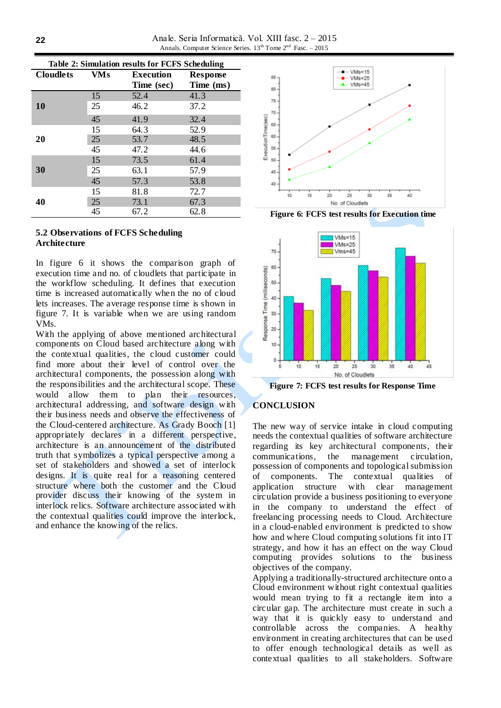Anale. Seria Informatică. Vol. XIII fasc. 2 – 2015 Annals. Computer Science Series.  $13^{th}$  Tome  $2^{nd}$  Fasc.  $-2015$ 

| Table 2: Simulation results for FCFS Scheduling |            |                  |                 |  |  |  |
|-------------------------------------------------|------------|------------------|-----------------|--|--|--|
| <b>Cloudlets</b>                                | <b>VMs</b> | <b>Execution</b> | <b>Response</b> |  |  |  |
|                                                 |            | Time (sec)       | Time (ms)       |  |  |  |
|                                                 | 15         | 52.4             | 41.3            |  |  |  |
| 10                                              | 25         | 46.2             | 37.2            |  |  |  |
|                                                 | 45         | 41.9             | 32.4            |  |  |  |
|                                                 | 15         | 64.3             | 52.9            |  |  |  |
| 20                                              | 25         | 53.7             | 48.5            |  |  |  |
|                                                 | 45         | 47.2             | 44.6            |  |  |  |
|                                                 | 15         | 73.5             | 61.4            |  |  |  |
| 30                                              | 25         | 63.1             | 57.9            |  |  |  |
|                                                 | 45         | 57.3             | 53.8            |  |  |  |
|                                                 | 15         | 81.8             | 72.7            |  |  |  |
| 40                                              | 25         | 73.1             | 67.3            |  |  |  |
|                                                 | 45         | 67.2             | 62.8            |  |  |  |

### **5.2 Observations of FCFS Scheduling Architecture**

In figure 6 it shows the comparison graph of execution time and no. of cloudlets that participate in the workflow scheduling. It defines that execution time is increased automatically when the no of cloud lets increases. The average response time is shown in figure 7. It is variable when we are using random VMs.

With the applying of above mentioned architectural components on Cloud based architecture along with the contextual qualities, the cloud customer could find more about their level of control over the architectural components, the possession along with the responsibilities and the architectural scope. These would allow them to plan their resources, architectural addressing, and software design with their business needs and observe the effectiveness of the Cloud-centered architecture. As Grady Booch [1] appropriately declares in a different perspective, architecture is an announcement of the distributed truth that symbolizes a typical perspective among a set of stakeholders and showed a set of interlock designs. It is quite real for a reasoning centered structure where both the customer and the Cloud provider discuss their knowing of the system in interlock relics. Software architecture associated with the contextual qualities could improve the interlock, and enhance the knowing of the relics.



**Figure 6: FCFS test results for Execution time**



**Figure 7: FCFS test results for Response Time**

### **CONCLUSION**

The new way of service intake in cloud computing needs the contextual qualities of software architecture regarding its key architectural components, their communications, the management circulation, possession of components and topological submission of components. The contextual qualities of application structure with clear management circulation provide a business positioning to everyone in the company to understand the effect of freelancing processing needs to Cloud. Architecture in a cloud-enabled environment is predicted to show how and where Cloud computing solutions fit into IT strategy, and how it has an effect on the way Cloud computing provides solutions to the business objectives of the company.

Applying a traditionally-structured architecture onto a Cloud environment without right contextual qualities would mean trying to fit a rectangle item into a circular gap. The architecture must create in such a way that it is quickly easy to understand and controllable across the companies. A healthy environment in creating architectures that can be used to offer enough technological details as well as contextual qualities to all stakeholders. Software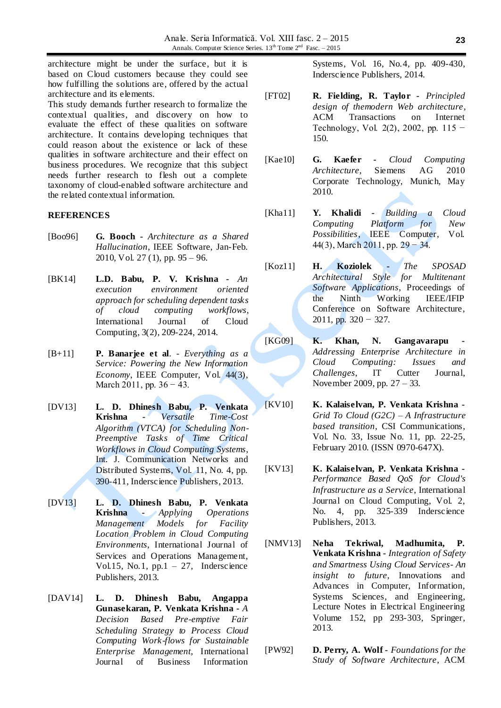architecture might be under the surface, but it is based on Cloud customers because they could see how fulfilling the solutions are, offered by the actual architecture and its elements.

This study demands further research to formalize the contextual qualities, and discovery on how to evaluate the effect of these qualities on software architecture. It contains developing techniques that could reason about the existence or lack of these qualities in software architecture and their effect on business procedures. We recognize that this subject needs further research to flesh out a complete taxonomy of cloud-enabled software architecture and the related contextual information.

#### **REFERENCES**

- [Boo96] **G. Booch -** *Architecture as a Shared Hallucination*, IEEE Software, Jan-Feb. 2010, Vol. 27 (1), pp. 95 *–* 96.
- [BK14] **L.D. Babu, P. V. Krishna -** *An execution environment oriented approach for scheduling dependent tasks of cloud computing workflows*, International Journal of Cloud Computing, 3(2), 209-224, 2014.
- [B+11] **P. Banarjee et al**. *Everything as a Service: Powering the New Information Economy*, IEEE Computer, Vol. 44(3), March 2011, pp. 36 − 43.
- [DV13] **L. D. Dhinesh Babu, P. Venkata Krishna -** *Versatile Time-Cost Algorithm (VTCA) for Scheduling Non-Preemptive Tasks of Time Critical Workflows in Cloud Computing Systems*, Int. J. Communication Networks and Distributed Systems, Vol. 11, No. 4, pp. 390-411, Inderscience Publishers, 2013.
- [DV13] **L. D. Dhinesh Babu, P. Venkata Krishna -** *Applying Operations Management Models for Facility Location Problem in Cloud Computing Environments*, International Journal of Services and Operations Management, Vol.15, No.1, pp.1 – 27, Inderscience Publishers, 2013.
- [DAV14] **L. D. Dhinesh Babu, Angappa Gunasekaran, P. Venkata Krishna -** *A Decision Based Pre-emptive Fair Scheduling Strategy to Process Cloud Computing Work-flows for Sustainable Enterprise Management*, International Journal of Business Information

Systems, Vol. 16, No.4, pp. 409-430, Inderscience Publishers, 2014.

- [FT02] **R. Fielding, R. Taylor -** *Principled design of themodern Web architecture,*  ACM Transactions on Internet Technology, Vol. 2(2), 2002, pp. 115 − 150.
- [Kae10] **G. Kaefer -** *Cloud Computing Architecture*, Siemens AG 2010 Corporate Technology, Munich, May 2010.
- [Kha11] **Y. Khalidi -** *Building a Cloud Computing Platform for New Possibilities*, IEEE Computer, Vol. 44(3), March 2011, pp. 29 − 34.
- [Koz11] **H. Koziolek -** *The SPOSAD Architectural Style for Multitenant Software Applications*, Proceedings of the Ninth Working IEEE/IFIP Conference on Software Architecture, 2011, pp. 320 *−* 327.
- [KG09] **K. Khan, N. Gangavarapu -** *Addressing Enterprise Architecture in Cloud Computing: Issues and Challenges*, IT Cutter Journal, November 2009, pp. 27 *–* 33.
- [KV10] **K. Kalaiselvan, P. Venkata Krishna -** *Grid To Cloud (G2C) – A Infrastructure based transition,* CSI Communications, Vol. No. 33, Issue No. 11, pp. 22-25, February 2010. (ISSN 0970-647X).
- [KV13] **K. Kalaiselvan, P. Venkata Krishna -** *Performance Based QoS for Cloud's Infrastructure as a Service*, International Journal on Cloud Computing, Vol. 2, No. 4, pp. 325-339 Inderscience Publishers, 2013.
- [NMV13] **Neha Tekriwal, Madhumita, P. Venkata Krishna -** *Integration of Safety and Smartness Using Cloud Services- An insight to future*, Innovations and Advances in Computer, Information, Systems Sciences, and Engineering, Lecture Notes in Electrical Engineering Volume 152, pp 293-303, Springer, 2013.
- [PW92] **D. Perry, A. Wolf -** *Foundations for the Study of Software Architecture*, ACM